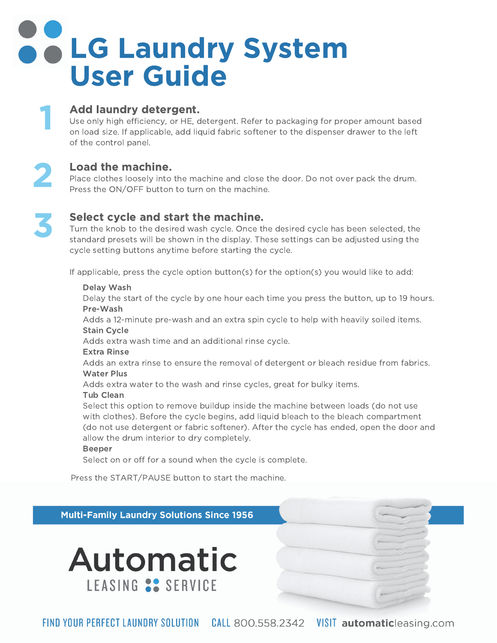# **B & LG Laundry System** User Guide

### Add laundry detergent.

**Add laundry detergent.**<br>Use only high efficiency, or HE, detergent. Refer to packaging for proper amount based<br>on load size. If applicable, add liquid fabric softener to the dispenser drawer to the left on load size. If applie<br>of the control panel.

2

1

### Load the machine.

**Load the machine.**<br>Place clothes loosely into the machine and close the door. Do not over pack the drum.<br>Press the ON/OFF button to turn on the machine.



### Select cycle and start the machine.

**Select cycle and start the machine.**<br>Turn the knob to the desired wash cycle. Once the desired cycle has been selected, the<br>standard presets will be shown in the display. These settings can be adjusted using the standard presets will be shown in the display. These set<br>cycle setting buttons anytime before starting the cycle.

If applicable, press the cycle option button(s) for the option(s) you would like to add:

#### Delay Wash Delay

Delay the start of the cycle by one hour each time you press the button, up to 19 hours. Pre-Wash

Adds a 12-minute pre-wash and an extra spin cycle to help with heavily soiled items. **Stain Cycle** 

Adds extra wash time and an additional rinse cycle.

Extra Rinse

Adds an extra rinse to ensure the removal of detergent or bleach residue from fabrics. Water Plus

Adds extra water to the wash and rinse cycles, great for bulky items.

### Tub Clean

**Tub Clean**<br>Select this option to remove buildup inside the machine between loads (do not use<br>with clothes). Before the cycle begins, add liguid bleach to the bleach compartment with clothes). Before the cycle begins, add liquid bleach to the bleach compartment with clothes). Before the cycle begins, add liquid bleach to the bleach compartment<br>(do not use detergent or fabric softener). After the cycle has ended, open the door and<br>allow the drum interior to dry completely.

#### Beeper

Select on or off for a sound when the cycle is complete. Press

Press the START/PAUSE button to start the machine.

**Multi-Family Laundry Solutions Since 1956** 



FIND YOUR PERFECT LAUNDRY SOLUTION CALL 800.558.2342 VISIT automaticleasing.com